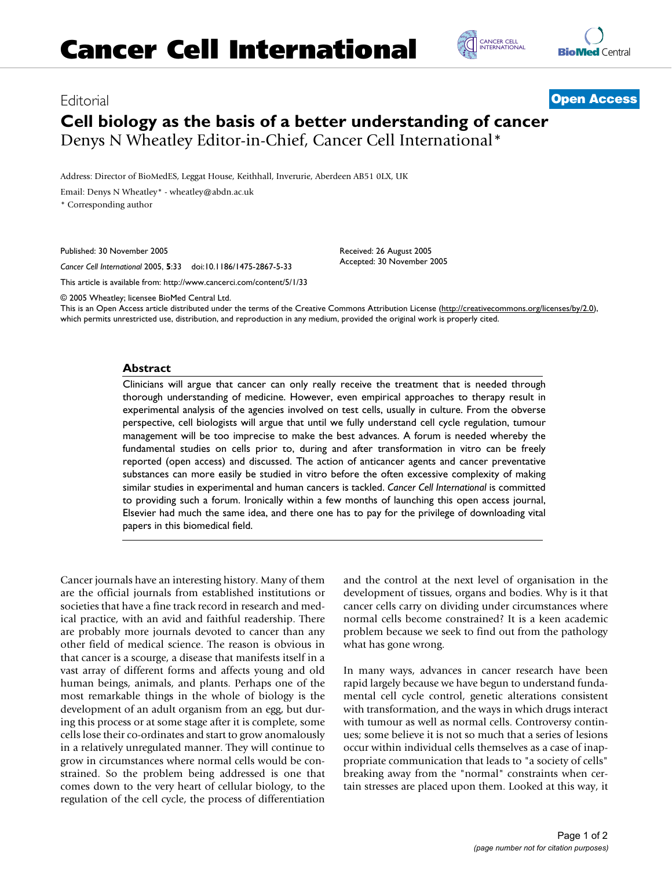

## Editorial **[Open Access](http://www.biomedcentral.com/info/about/charter/)**

## **Cell biology as the basis of a better understanding of cancer** Denys N Wheatley Editor-in-Chief, Cancer Cell International\*

Address: Director of BioMedES, Leggat House, Keithhall, Inverurie, Aberdeen AB51 0LX, UK

Email: Denys N Wheatley\* - wheatley@abdn.ac.uk

\* Corresponding author

Published: 30 November 2005

*Cancer Cell International* 2005, **5**:33 doi:10.1186/1475-2867-5-33

[This article is available from: http://www.cancerci.com/content/5/1/33](http://www.cancerci.com/content/5/1/33)

© 2005 Wheatley; licensee BioMed Central Ltd.

This is an Open Access article distributed under the terms of the Creative Commons Attribution License [\(http://creativecommons.org/licenses/by/2.0\)](http://creativecommons.org/licenses/by/2.0), which permits unrestricted use, distribution, and reproduction in any medium, provided the original work is properly cited.

Received: 26 August 2005 Accepted: 30 November 2005

## **Abstract**

Clinicians will argue that cancer can only really receive the treatment that is needed through thorough understanding of medicine. However, even empirical approaches to therapy result in experimental analysis of the agencies involved on test cells, usually in culture. From the obverse perspective, cell biologists will argue that until we fully understand cell cycle regulation, tumour management will be too imprecise to make the best advances. A forum is needed whereby the fundamental studies on cells prior to, during and after transformation in vitro can be freely reported (open access) and discussed. The action of anticancer agents and cancer preventative substances can more easily be studied in vitro before the often excessive complexity of making similar studies in experimental and human cancers is tackled. *Cancer Cell International* is committed to providing such a forum. Ironically within a few months of launching this open access journal, Elsevier had much the same idea, and there one has to pay for the privilege of downloading vital papers in this biomedical field.

Cancer journals have an interesting history. Many of them are the official journals from established institutions or societies that have a fine track record in research and medical practice, with an avid and faithful readership. There are probably more journals devoted to cancer than any other field of medical science. The reason is obvious in that cancer is a scourge, a disease that manifests itself in a vast array of different forms and affects young and old human beings, animals, and plants. Perhaps one of the most remarkable things in the whole of biology is the development of an adult organism from an egg, but during this process or at some stage after it is complete, some cells lose their co-ordinates and start to grow anomalously in a relatively unregulated manner. They will continue to grow in circumstances where normal cells would be constrained. So the problem being addressed is one that comes down to the very heart of cellular biology, to the regulation of the cell cycle, the process of differentiation and the control at the next level of organisation in the development of tissues, organs and bodies. Why is it that cancer cells carry on dividing under circumstances where normal cells become constrained? It is a keen academic problem because we seek to find out from the pathology what has gone wrong.

In many ways, advances in cancer research have been rapid largely because we have begun to understand fundamental cell cycle control, genetic alterations consistent with transformation, and the ways in which drugs interact with tumour as well as normal cells. Controversy continues; some believe it is not so much that a series of lesions occur within individual cells themselves as a case of inappropriate communication that leads to "a society of cells" breaking away from the "normal" constraints when certain stresses are placed upon them. Looked at this way, it